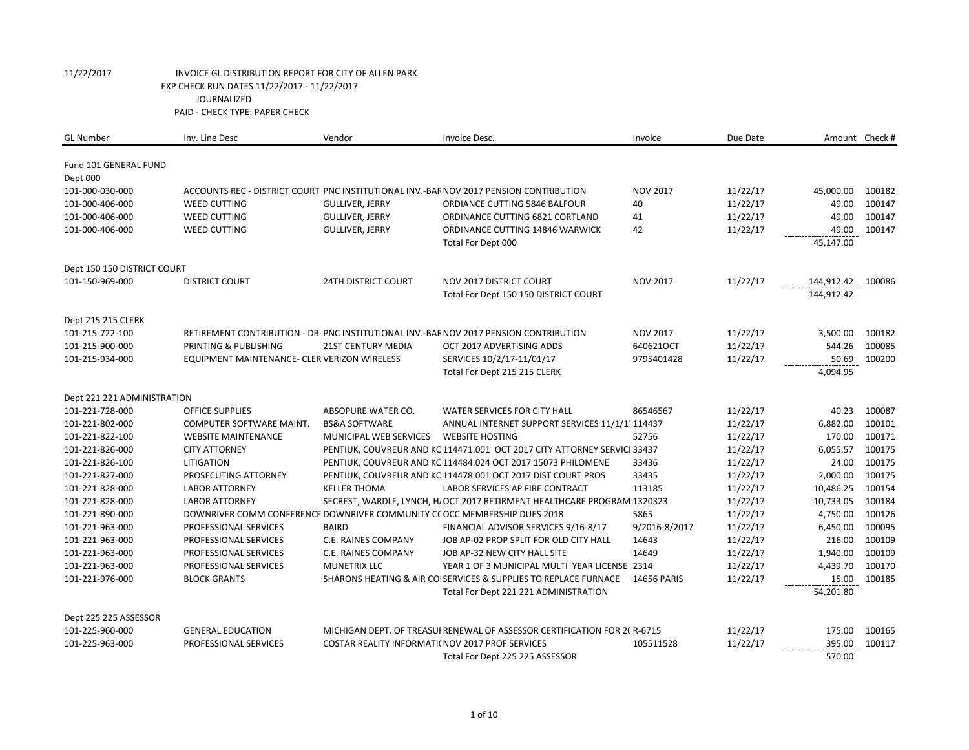# 11/22/2017 INVOICE GL DISTRIBUTION REPORT FOR CITY OF ALLEN PARK EXP CHECK RUN DATES 11/22/2017 - 11/22/2017 JOURNALIZED PAID - CHECK TYPE: PAPER CHECK

| <b>GL Number</b>                  | Inv. Line Desc                                                            | Vendor                                           | Invoice Desc.                                                                          | Invoice            | Due Date | Amount Check # |        |
|-----------------------------------|---------------------------------------------------------------------------|--------------------------------------------------|----------------------------------------------------------------------------------------|--------------------|----------|----------------|--------|
| Fund 101 GENERAL FUND<br>Dept 000 |                                                                           |                                                  |                                                                                        |                    |          |                |        |
| 101-000-030-000                   |                                                                           |                                                  | ACCOUNTS REC - DISTRICT COURT PNC INSTITUTIONAL INV.-BAF NOV 2017 PENSION CONTRIBUTION | <b>NOV 2017</b>    | 11/22/17 | 45,000.00      | 100182 |
| 101-000-406-000                   | <b>WEED CUTTING</b>                                                       | <b>GULLIVER, JERRY</b>                           | ORDIANCE CUTTING 5846 BALFOUR                                                          | 40                 | 11/22/17 | 49.00          | 100147 |
| 101-000-406-000                   | <b>WEED CUTTING</b>                                                       | <b>GULLIVER, JERRY</b>                           | ORDINANCE CUTTING 6821 CORTLAND                                                        | 41                 | 11/22/17 | 49.00          | 100147 |
| 101-000-406-000                   | <b>WEED CUTTING</b>                                                       | <b>GULLIVER, JERRY</b>                           | ORDINANCE CUTTING 14846 WARWICK                                                        | 42                 | 11/22/17 | 49.00          | 100147 |
|                                   |                                                                           |                                                  | Total For Dept 000                                                                     |                    |          | 45,147.00      |        |
| Dept 150 150 DISTRICT COURT       |                                                                           |                                                  |                                                                                        |                    |          |                |        |
| 101-150-969-000                   | <b>DISTRICT COURT</b>                                                     | <b>24TH DISTRICT COURT</b>                       | NOV 2017 DISTRICT COURT                                                                | <b>NOV 2017</b>    | 11/22/17 | 144,912.42     | 100086 |
|                                   |                                                                           |                                                  | Total For Dept 150 150 DISTRICT COURT                                                  |                    |          | 144,912.42     |        |
| Dept 215 215 CLERK                |                                                                           |                                                  |                                                                                        |                    |          |                |        |
| 101-215-722-100                   |                                                                           |                                                  | RETIREMENT CONTRIBUTION - DB- PNC INSTITUTIONAL INV.-BAF NOV 2017 PENSION CONTRIBUTION | <b>NOV 2017</b>    | 11/22/17 | 3,500.00       | 100182 |
| 101-215-900-000                   | PRINTING & PUBLISHING                                                     | <b>21ST CENTURY MEDIA</b>                        | OCT 2017 ADVERTISING ADDS                                                              | 640621OCT          | 11/22/17 | 544.26         | 100085 |
| 101-215-934-000                   | EQUIPMENT MAINTENANCE- CLER VERIZON WIRELESS                              |                                                  | SERVICES 10/2/17-11/01/17                                                              | 9795401428         | 11/22/17 | 50.69          | 100200 |
|                                   |                                                                           |                                                  | Total For Dept 215 215 CLERK                                                           |                    |          | 4,094.95       |        |
| Dept 221 221 ADMINISTRATION       |                                                                           |                                                  |                                                                                        |                    |          |                |        |
| 101-221-728-000                   | <b>OFFICE SUPPLIES</b>                                                    | ABSOPURE WATER CO.                               | WATER SERVICES FOR CITY HALL                                                           | 86546567           | 11/22/17 | 40.23          | 100087 |
| 101-221-802-000                   | COMPUTER SOFTWARE MAINT.                                                  | <b>BS&amp;A SOFTWARE</b>                         | ANNUAL INTERNET SUPPORT SERVICES 11/1/1 114437                                         |                    | 11/22/17 | 6,882.00       | 100101 |
| 101-221-822-100                   | <b>WEBSITE MAINTENANCE</b>                                                | MUNICIPAL WEB SERVICES                           | <b>WEBSITE HOSTING</b>                                                                 | 52756              | 11/22/17 | 170.00         | 100171 |
| 101-221-826-000                   | <b>CITY ATTORNEY</b>                                                      |                                                  | PENTIUK, COUVREUR AND KC 114471.001 OCT 2017 CITY ATTORNEY SERVICI 33437               |                    | 11/22/17 | 6,055.57       | 100175 |
| 101-221-826-100                   | <b>LITIGATION</b>                                                         |                                                  | PENTIUK, COUVREUR AND KC 114484.024 OCT 2017 15073 PHILOMENE                           | 33436              | 11/22/17 | 24.00          | 100175 |
| 101-221-827-000                   | PROSECUTING ATTORNEY                                                      |                                                  | PENTIUK, COUVREUR AND KC 114478.001 OCT 2017 DIST COURT PROS                           | 33435              | 11/22/17 | 2,000.00       | 100175 |
| 101-221-828-000                   | <b>LABOR ATTORNEY</b>                                                     | <b>KELLER THOMA</b>                              | LABOR SERVICES AP FIRE CONTRACT                                                        | 113185             | 11/22/17 | 10,486.25      | 100154 |
| 101-221-828-000                   | <b>LABOR ATTORNEY</b>                                                     |                                                  | SECREST, WARDLE, LYNCH, H. OCT 2017 RETIRMENT HEALTHCARE PROGRAM 1320323               |                    | 11/22/17 | 10,733.05      | 100184 |
| 101-221-890-000                   | DOWNRIVER COMM CONFERENCE DOWNRIVER COMMUNITY CO OCC MEMBERSHIP DUES 2018 |                                                  |                                                                                        | 5865               | 11/22/17 | 4,750.00       | 100126 |
| 101-221-963-000                   | PROFESSIONAL SERVICES                                                     | <b>BAIRD</b>                                     | FINANCIAL ADVISOR SERVICES 9/16-8/17                                                   | 9/2016-8/2017      | 11/22/17 | 6,450.00       | 100095 |
| 101-221-963-000                   | PROFESSIONAL SERVICES                                                     | C.E. RAINES COMPANY                              | JOB AP-02 PROP SPLIT FOR OLD CITY HALL                                                 | 14643              | 11/22/17 | 216.00         | 100109 |
| 101-221-963-000                   | PROFESSIONAL SERVICES                                                     | C.E. RAINES COMPANY                              | JOB AP-32 NEW CITY HALL SITE                                                           | 14649              | 11/22/17 | 1,940.00       | 100109 |
| 101-221-963-000                   | PROFESSIONAL SERVICES                                                     | <b>MUNETRIX LLC</b>                              | YEAR 1 OF 3 MUNICIPAL MULTI YEAR LICENSE: 2314                                         |                    | 11/22/17 | 4,439.70       | 100170 |
| 101-221-976-000                   | <b>BLOCK GRANTS</b>                                                       |                                                  | SHARONS HEATING & AIR CO SERVICES & SUPPLIES TO REPLACE FURNACE                        | <b>14656 PARIS</b> | 11/22/17 | 15.00          | 100185 |
|                                   |                                                                           |                                                  | Total For Dept 221 221 ADMINISTRATION                                                  |                    |          | 54,201.80      |        |
| Dept 225 225 ASSESSOR             |                                                                           |                                                  |                                                                                        |                    |          |                |        |
| 101-225-960-000                   | <b>GENERAL EDUCATION</b>                                                  |                                                  | MICHIGAN DEPT. OF TREASUI RENEWAL OF ASSESSOR CERTIFICATION FOR 2C R-6715              |                    | 11/22/17 | 175.00         | 100165 |
| 101-225-963-000                   | PROFESSIONAL SERVICES                                                     | COSTAR REALITY INFORMATI( NOV 2017 PROF SERVICES |                                                                                        | 105511528          | 11/22/17 | 395.00         | 100117 |
|                                   |                                                                           |                                                  | Total For Dept 225 225 ASSESSOR                                                        |                    |          | 570.00         |        |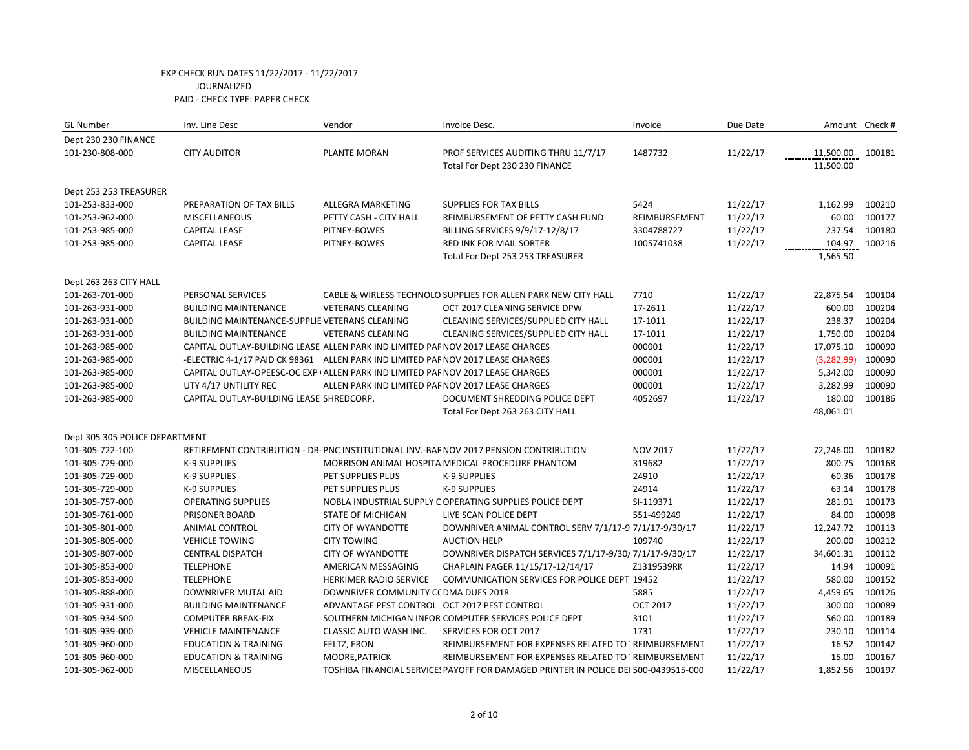| <b>GL Number</b>               | Inv. Line Desc                                                                   | Vendor                                            | Invoice Desc.                                                                          | Invoice         | Due Date |             | Amount Check # |
|--------------------------------|----------------------------------------------------------------------------------|---------------------------------------------------|----------------------------------------------------------------------------------------|-----------------|----------|-------------|----------------|
| Dept 230 230 FINANCE           |                                                                                  |                                                   |                                                                                        |                 |          |             |                |
| 101-230-808-000                | <b>CITY AUDITOR</b>                                                              | PLANTE MORAN                                      | PROF SERVICES AUDITING THRU 11/7/17                                                    | 1487732         | 11/22/17 | 11,500.00   | 100181         |
|                                |                                                                                  |                                                   | Total For Dept 230 230 FINANCE                                                         |                 |          | 11,500.00   |                |
| Dept 253 253 TREASURER         |                                                                                  |                                                   |                                                                                        |                 |          |             |                |
| 101-253-833-000                | PREPARATION OF TAX BILLS                                                         | ALLEGRA MARKETING                                 | <b>SUPPLIES FOR TAX BILLS</b>                                                          | 5424            | 11/22/17 | 1,162.99    | 100210         |
| 101-253-962-000                | MISCELLANEOUS                                                                    | PETTY CASH - CITY HALL                            | REIMBURSEMENT OF PETTY CASH FUND                                                       | REIMBURSEMENT   | 11/22/17 | 60.00       | 100177         |
| 101-253-985-000                | <b>CAPITAL LEASE</b>                                                             | PITNEY-BOWES                                      | BILLING SERVICES 9/9/17-12/8/17                                                        | 3304788727      | 11/22/17 | 237.54      | 100180         |
| 101-253-985-000                | <b>CAPITAL LEASE</b>                                                             | PITNEY-BOWES                                      | RED INK FOR MAIL SORTER                                                                | 1005741038      | 11/22/17 | 104.97      | 100216         |
|                                |                                                                                  |                                                   | Total For Dept 253 253 TREASURER                                                       |                 |          | 1,565.50    |                |
| Dept 263 263 CITY HALL         |                                                                                  |                                                   |                                                                                        |                 |          |             |                |
| 101-263-701-000                | PERSONAL SERVICES                                                                |                                                   | CABLE & WIRLESS TECHNOLO SUPPLIES FOR ALLEN PARK NEW CITY HALL                         | 7710            | 11/22/17 | 22,875.54   | 100104         |
| 101-263-931-000                | <b>BUILDING MAINTENANCE</b>                                                      | <b>VETERANS CLEANING</b>                          | OCT 2017 CLEANING SERVICE DPW                                                          | 17-2611         | 11/22/17 | 600.00      | 100204         |
| 101-263-931-000                | BUILDING MAINTENANCE-SUPPLIE VETERANS CLEANING                                   |                                                   | CLEANING SERVICES/SUPPLIED CITY HALL                                                   | 17-1011         | 11/22/17 | 238.37      | 100204         |
| 101-263-931-000                | <b>BUILDING MAINTENANCE</b>                                                      | <b>VETERANS CLEANING</b>                          | CLEANING SERVICES/SUPPLIED CITY HALL                                                   | 17-1011         | 11/22/17 | 1,750.00    | 100204         |
| 101-263-985-000                | CAPITAL OUTLAY-BUILDING LEASE ALLEN PARK IND LIMITED PAF NOV 2017 LEASE CHARGES  |                                                   |                                                                                        | 000001          | 11/22/17 | 17,075.10   | 100090         |
| 101-263-985-000                | -ELECTRIC 4-1/17 PAID CK 98361 ALLEN PARK IND LIMITED PAF NOV 2017 LEASE CHARGES |                                                   |                                                                                        | 000001          | 11/22/17 | (3, 282.99) | 100090         |
| 101-263-985-000                | CAPITAL OUTLAY-OPEESC-OC EXP (ALLEN PARK IND LIMITED PAF NOV 2017 LEASE CHARGES  |                                                   |                                                                                        | 000001          | 11/22/17 | 5,342.00    | 100090         |
| 101-263-985-000                | UTY 4/17 UNTILITY REC                                                            | ALLEN PARK IND LIMITED PAF NOV 2017 LEASE CHARGES |                                                                                        | 000001          | 11/22/17 | 3,282.99    | 100090         |
| 101-263-985-000                | CAPITAL OUTLAY-BUILDING LEASE SHREDCORP.                                         |                                                   | DOCUMENT SHREDDING POLICE DEPT                                                         | 4052697         | 11/22/17 | 180.00      | 100186         |
|                                |                                                                                  |                                                   | Total For Dept 263 263 CITY HALL                                                       |                 |          | 48,061.01   |                |
| Dept 305 305 POLICE DEPARTMENT |                                                                                  |                                                   |                                                                                        |                 |          |             |                |
| 101-305-722-100                |                                                                                  |                                                   | RETIREMENT CONTRIBUTION - DB- PNC INSTITUTIONAL INV.-BAF NOV 2017 PENSION CONTRIBUTION | <b>NOV 2017</b> | 11/22/17 | 72,246.00   | 100182         |
| 101-305-729-000                | K-9 SUPPLIES                                                                     |                                                   | MORRISON ANIMAL HOSPITA MEDICAL PROCEDURE PHANTOM                                      | 319682          | 11/22/17 | 800.75      | 100168         |
| 101-305-729-000                | K-9 SUPPLIES                                                                     | PET SUPPLIES PLUS                                 | <b>K-9 SUPPLIES</b>                                                                    | 24910           | 11/22/17 | 60.36       | 100178         |
| 101-305-729-000                | K-9 SUPPLIES                                                                     | PET SUPPLIES PLUS                                 | <b>K-9 SUPPLIES</b>                                                                    | 24914           | 11/22/17 | 63.14       | 100178         |
| 101-305-757-000                | <b>OPERATING SUPPLIES</b>                                                        |                                                   | NOBLA INDUSTRIAL SUPPLY C OPERATING SUPPLIES POLICE DEPT                               | SI-119371       | 11/22/17 | 281.91      | 100173         |
| 101-305-761-000                | PRISONER BOARD                                                                   | <b>STATE OF MICHIGAN</b>                          | LIVE SCAN POLICE DEPT                                                                  | 551-499249      | 11/22/17 | 84.00       | 100098         |
| 101-305-801-000                | <b>ANIMAL CONTROL</b>                                                            | <b>CITY OF WYANDOTTE</b>                          | DOWNRIVER ANIMAL CONTROL SERV 7/1/17-9 7/1/17-9/30/17                                  |                 | 11/22/17 | 12,247.72   | 100113         |
| 101-305-805-000                | <b>VEHICLE TOWING</b>                                                            | <b>CITY TOWING</b>                                | <b>AUCTION HELP</b>                                                                    | 109740          | 11/22/17 | 200.00      | 100212         |
| 101-305-807-000                | <b>CENTRAL DISPATCH</b>                                                          | <b>CITY OF WYANDOTTE</b>                          | DOWNRIVER DISPATCH SERVICES 7/1/17-9/30/7/1/17-9/30/17                                 |                 | 11/22/17 | 34,601.31   | 100112         |
| 101-305-853-000                | <b>TELEPHONE</b>                                                                 | AMERICAN MESSAGING                                | CHAPLAIN PAGER 11/15/17-12/14/17                                                       | Z1319539RK      | 11/22/17 | 14.94       | 100091         |
| 101-305-853-000                | <b>TELEPHONE</b>                                                                 | HERKIMER RADIO SERVICE                            | COMMUNICATION SERVICES FOR POLICE DEPT 19452                                           |                 | 11/22/17 | 580.00      | 100152         |
| 101-305-888-000                | DOWNRIVER MUTAL AID                                                              | DOWNRIVER COMMUNITY CC DMA DUES 2018              |                                                                                        | 5885            | 11/22/17 | 4,459.65    | 100126         |
| 101-305-931-000                | <b>BUILDING MAINTENANCE</b>                                                      | ADVANTAGE PEST CONTROL OCT 2017 PEST CONTROL      |                                                                                        | <b>OCT 2017</b> | 11/22/17 | 300.00      | 100089         |
| 101-305-934-500                | <b>COMPUTER BREAK-FIX</b>                                                        |                                                   | SOUTHERN MICHIGAN INFOR COMPUTER SERVICES POLICE DEPT                                  | 3101            | 11/22/17 | 560.00      | 100189         |
| 101-305-939-000                | <b>VEHICLE MAINTENANCE</b>                                                       | CLASSIC AUTO WASH INC.                            | SERVICES FOR OCT 2017                                                                  | 1731            | 11/22/17 | 230.10      | 100114         |
| 101-305-960-000                | <b>EDUCATION &amp; TRAINING</b>                                                  | FELTZ, ERON                                       | REIMBURSEMENT FOR EXPENSES RELATED TO 'REIMBURSEMENT                                   |                 | 11/22/17 | 16.52       | 100142         |
| 101-305-960-000                | <b>EDUCATION &amp; TRAINING</b>                                                  | MOORE, PATRICK                                    | REIMBURSEMENT FOR EXPENSES RELATED TO TREIMBURSEMENT                                   |                 | 11/22/17 | 15.00       | 100167         |
| 101-305-962-000                | <b>MISCELLANEOUS</b>                                                             |                                                   | TOSHIBA FINANCIAL SERVICE! PAYOFF FOR DAMAGED PRINTER IN POLICE DEI 500-0439515-000    |                 | 11/22/17 | 1,852.56    | 100197         |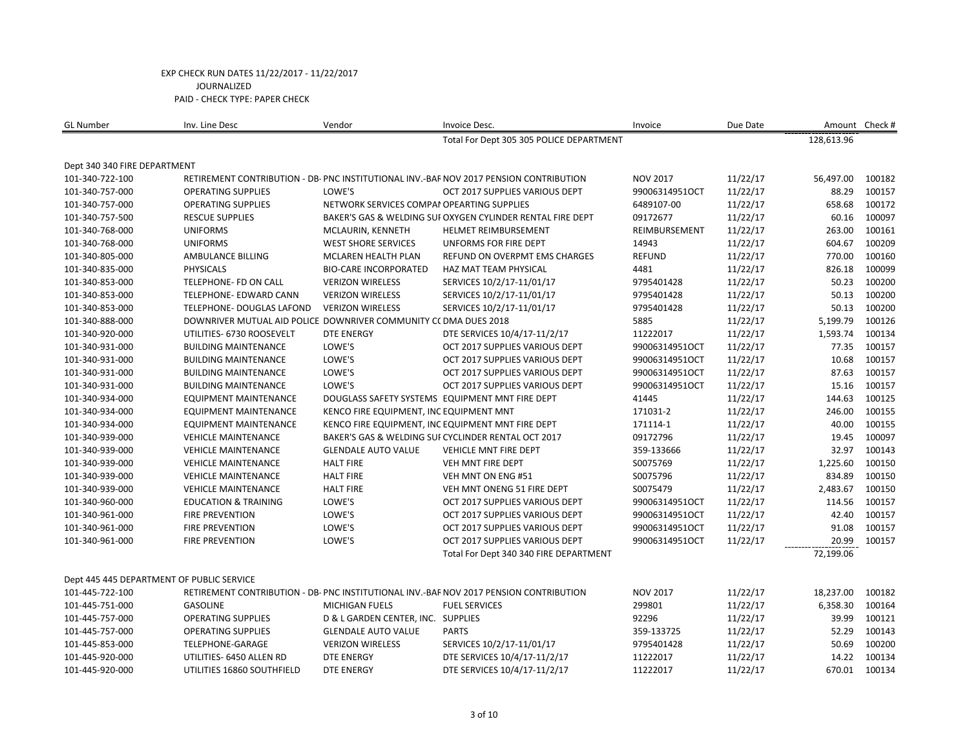| <b>GL Number</b>                                | Inv. Line Desc                                                   | Vendor                                     | Invoice Desc.                                                                          | Invoice         | Due Date |            | Amount Check # |
|-------------------------------------------------|------------------------------------------------------------------|--------------------------------------------|----------------------------------------------------------------------------------------|-----------------|----------|------------|----------------|
|                                                 |                                                                  |                                            | Total For Dept 305 305 POLICE DEPARTMENT                                               |                 |          | 128,613.96 |                |
|                                                 |                                                                  |                                            |                                                                                        |                 |          |            |                |
| Dept 340 340 FIRE DEPARTMENT<br>101-340-722-100 |                                                                  |                                            | RETIREMENT CONTRIBUTION - DB- PNC INSTITUTIONAL INV.-BAF NOV 2017 PENSION CONTRIBUTION | <b>NOV 2017</b> | 11/22/17 | 56,497.00  | 100182         |
|                                                 | <b>OPERATING SUPPLIES</b>                                        | LOWE'S                                     | OCT 2017 SUPPLIES VARIOUS DEPT                                                         | 99006314951OCT  |          | 88.29      | 100157         |
| 101-340-757-000                                 |                                                                  |                                            |                                                                                        |                 | 11/22/17 |            |                |
| 101-340-757-000                                 | <b>OPERATING SUPPLIES</b>                                        | NETWORK SERVICES COMPAI OPEARTING SUPPLIES |                                                                                        | 6489107-00      | 11/22/17 | 658.68     | 100172         |
| 101-340-757-500                                 | <b>RESCUE SUPPLIES</b>                                           |                                            | BAKER'S GAS & WELDING SUI OXYGEN CYLINDER RENTAL FIRE DEPT                             | 09172677        | 11/22/17 | 60.16      | 100097         |
| 101-340-768-000                                 | <b>UNIFORMS</b>                                                  | MCLAURIN, KENNETH                          | <b>HELMET REIMBURSEMENT</b>                                                            | REIMBURSEMENT   | 11/22/17 | 263.00     | 100161         |
| 101-340-768-000                                 | <b>UNIFORMS</b>                                                  | <b>WEST SHORE SERVICES</b>                 | UNFORMS FOR FIRE DEPT                                                                  | 14943           | 11/22/17 | 604.67     | 100209         |
| 101-340-805-000                                 | AMBULANCE BILLING                                                | MCLAREN HEALTH PLAN                        | REFUND ON OVERPMT EMS CHARGES                                                          | <b>REFUND</b>   | 11/22/17 | 770.00     | 100160         |
| 101-340-835-000                                 | <b>PHYSICALS</b>                                                 | <b>BIO-CARE INCORPORATED</b>               | HAZ MAT TEAM PHYSICAL                                                                  | 4481            | 11/22/17 | 826.18     | 100099         |
| 101-340-853-000                                 | <b>TELEPHONE- FD ON CALL</b>                                     | <b>VERIZON WIRELESS</b>                    | SERVICES 10/2/17-11/01/17                                                              | 9795401428      | 11/22/17 | 50.23      | 100200         |
| 101-340-853-000                                 | TELEPHONE- EDWARD CANN                                           | <b>VERIZON WIRELESS</b>                    | SERVICES 10/2/17-11/01/17                                                              | 9795401428      | 11/22/17 | 50.13      | 100200         |
| 101-340-853-000                                 | TELEPHONE- DOUGLAS LAFOND                                        | <b>VERIZON WIRELESS</b>                    | SERVICES 10/2/17-11/01/17                                                              | 9795401428      | 11/22/17 | 50.13      | 100200         |
| 101-340-888-000                                 | DOWNRIVER MUTUAL AID POLICE DOWNRIVER COMMUNITY CC DMA DUES 2018 |                                            |                                                                                        | 5885            | 11/22/17 | 5,199.79   | 100126         |
| 101-340-920-000                                 | UTILITIES- 6730 ROOSEVELT                                        | <b>DTE ENERGY</b>                          | DTE SERVICES 10/4/17-11/2/17                                                           | 11222017        | 11/22/17 | 1,593.74   | 100134         |
| 101-340-931-000                                 | <b>BUILDING MAINTENANCE</b>                                      | LOWE'S                                     | OCT 2017 SUPPLIES VARIOUS DEPT                                                         | 99006314951OCT  | 11/22/17 | 77.35      | 100157         |
| 101-340-931-000                                 | <b>BUILDING MAINTENANCE</b>                                      | LOWE'S                                     | OCT 2017 SUPPLIES VARIOUS DEPT                                                         | 99006314951OCT  | 11/22/17 | 10.68      | 100157         |
| 101-340-931-000                                 | <b>BUILDING MAINTENANCE</b>                                      | LOWE'S                                     | OCT 2017 SUPPLIES VARIOUS DEPT                                                         | 99006314951OCT  | 11/22/17 | 87.63      | 100157         |
| 101-340-931-000                                 | <b>BUILDING MAINTENANCE</b>                                      | LOWE'S                                     | OCT 2017 SUPPLIES VARIOUS DEPT                                                         | 99006314951OCT  | 11/22/17 | 15.16      | 100157         |
| 101-340-934-000                                 | <b>EQUIPMENT MAINTENANCE</b>                                     |                                            | DOUGLASS SAFETY SYSTEMS EQUIPMENT MNT FIRE DEPT                                        | 41445           | 11/22/17 | 144.63     | 100125         |
| 101-340-934-000                                 | <b>EQUIPMENT MAINTENANCE</b>                                     | KENCO FIRE EQUIPMENT, INC EQUIPMENT MNT    |                                                                                        | 171031-2        | 11/22/17 | 246.00     | 100155         |
| 101-340-934-000                                 | EQUIPMENT MAINTENANCE                                            |                                            | KENCO FIRE EQUIPMENT, INC EQUIPMENT MNT FIRE DEPT                                      | 171114-1        | 11/22/17 | 40.00      | 100155         |
| 101-340-939-000                                 | <b>VEHICLE MAINTENANCE</b>                                       |                                            | BAKER'S GAS & WELDING SUI CYCLINDER RENTAL OCT 2017                                    | 09172796        | 11/22/17 | 19.45      | 100097         |
| 101-340-939-000                                 | <b>VEHICLE MAINTENANCE</b>                                       | <b>GLENDALE AUTO VALUE</b>                 | <b>VEHICLE MNT FIRE DEPT</b>                                                           | 359-133666      | 11/22/17 | 32.97      | 100143         |
| 101-340-939-000                                 | <b>VEHICLE MAINTENANCE</b>                                       | <b>HALT FIRE</b>                           | VEH MNT FIRE DEPT                                                                      | S0075769        | 11/22/17 | 1,225.60   | 100150         |
| 101-340-939-000                                 | <b>VEHICLE MAINTENANCE</b>                                       | <b>HALT FIRE</b>                           | VEH MNT ON ENG #51                                                                     | S0075796        | 11/22/17 | 834.89     | 100150         |
| 101-340-939-000                                 | <b>VEHICLE MAINTENANCE</b>                                       | <b>HALT FIRE</b>                           | VEH MNT ONENG 51 FIRE DEPT                                                             | S0075479        | 11/22/17 | 2,483.67   | 100150         |
| 101-340-960-000                                 | <b>EDUCATION &amp; TRAINING</b>                                  | LOWE'S                                     | OCT 2017 SUPPLIES VARIOUS DEPT                                                         | 99006314951OCT  | 11/22/17 | 114.56     | 100157         |
| 101-340-961-000                                 | <b>FIRE PREVENTION</b>                                           | LOWE'S                                     | OCT 2017 SUPPLIES VARIOUS DEPT                                                         | 99006314951OCT  | 11/22/17 | 42.40      | 100157         |
| 101-340-961-000                                 | <b>FIRE PREVENTION</b>                                           | LOWE'S                                     | OCT 2017 SUPPLIES VARIOUS DEPT                                                         | 99006314951OCT  | 11/22/17 | 91.08      | 100157         |
| 101-340-961-000                                 | <b>FIRE PREVENTION</b>                                           | LOWE'S                                     | OCT 2017 SUPPLIES VARIOUS DEPT                                                         | 99006314951OCT  | 11/22/17 | 20.99      | 100157         |
|                                                 |                                                                  |                                            | Total For Dept 340 340 FIRE DEPARTMENT                                                 |                 |          | 72,199.06  |                |
|                                                 |                                                                  |                                            |                                                                                        |                 |          |            |                |
| Dept 445 445 DEPARTMENT OF PUBLIC SERVICE       |                                                                  |                                            |                                                                                        |                 |          |            |                |
| 101-445-722-100                                 |                                                                  |                                            | RETIREMENT CONTRIBUTION - DB- PNC INSTITUTIONAL INV.-BAF NOV 2017 PENSION CONTRIBUTION | <b>NOV 2017</b> | 11/22/17 | 18,237.00  | 100182         |
| 101-445-751-000                                 | <b>GASOLINE</b>                                                  | <b>MICHIGAN FUELS</b>                      | <b>FUEL SERVICES</b>                                                                   | 299801          | 11/22/17 | 6,358.30   | 100164         |
| 101-445-757-000                                 | <b>OPERATING SUPPLIES</b>                                        | D & L GARDEN CENTER, INC. SUPPLIES         |                                                                                        | 92296           | 11/22/17 | 39.99      | 100121         |
| 101-445-757-000                                 | <b>OPERATING SUPPLIES</b>                                        | <b>GLENDALE AUTO VALUE</b>                 | <b>PARTS</b>                                                                           | 359-133725      | 11/22/17 | 52.29      | 100143         |
| 101-445-853-000                                 | TELEPHONE-GARAGE                                                 | <b>VERIZON WIRELESS</b>                    | SERVICES 10/2/17-11/01/17                                                              | 9795401428      | 11/22/17 | 50.69      | 100200         |
| 101-445-920-000                                 | UTILITIES- 6450 ALLEN RD                                         | <b>DTE ENERGY</b>                          | DTE SERVICES 10/4/17-11/2/17                                                           | 11222017        | 11/22/17 | 14.22      | 100134         |
| 101-445-920-000                                 | UTILITIES 16860 SOUTHFIELD                                       | <b>DTE ENERGY</b>                          | DTE SERVICES 10/4/17-11/2/17                                                           | 11222017        | 11/22/17 | 670.01     | 100134         |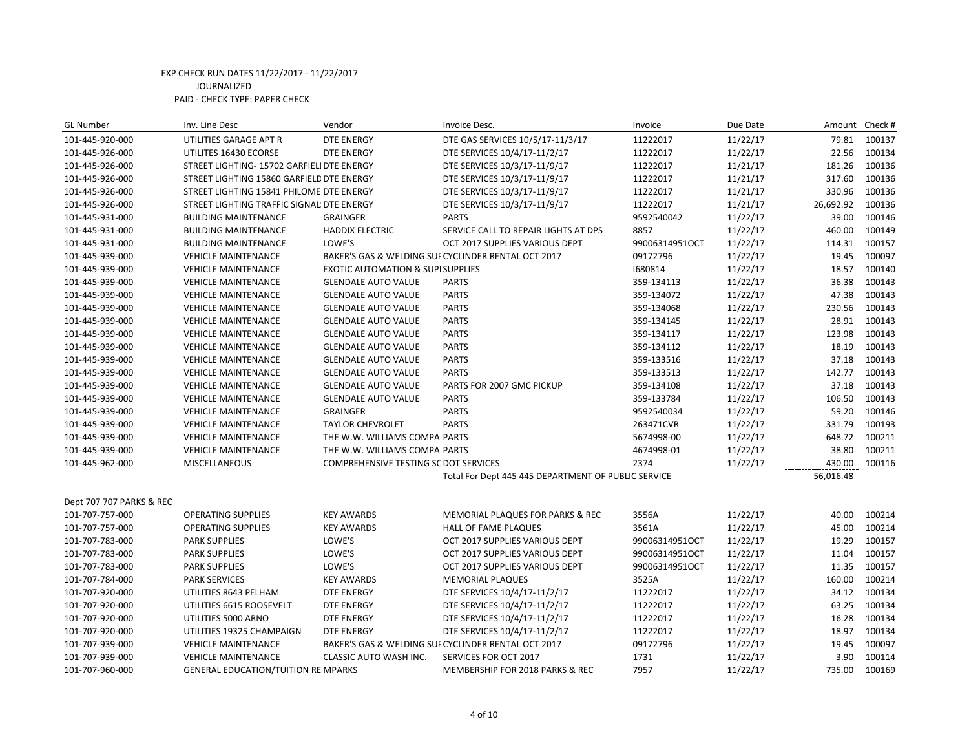| <b>GL Number</b>         | Inv. Line Desc                             | Vendor                                       | Invoice Desc.                                       | Invoice        | Due Date | Amount Check# |        |
|--------------------------|--------------------------------------------|----------------------------------------------|-----------------------------------------------------|----------------|----------|---------------|--------|
| 101-445-920-000          | UTILITIES GARAGE APT R                     | <b>DTE ENERGY</b>                            | DTE GAS SERVICES 10/5/17-11/3/17                    | 11222017       | 11/22/17 | 79.81         | 100137 |
| 101-445-926-000          | UTILITES 16430 ECORSE                      | <b>DTE ENERGY</b>                            | DTE SERVICES 10/4/17-11/2/17                        | 11222017       | 11/22/17 | 22.56         | 100134 |
| 101-445-926-000          | STREET LIGHTING- 15702 GARFIELI DTE ENERGY |                                              | DTE SERVICES 10/3/17-11/9/17                        | 11222017       | 11/21/17 | 181.26        | 100136 |
| 101-445-926-000          | STREET LIGHTING 15860 GARFIELD DTE ENERGY  |                                              | DTE SERVICES 10/3/17-11/9/17                        | 11222017       | 11/21/17 | 317.60        | 100136 |
| 101-445-926-000          | STREET LIGHTING 15841 PHILOME DTE ENERGY   |                                              | DTE SERVICES 10/3/17-11/9/17                        | 11222017       | 11/21/17 | 330.96        | 100136 |
| 101-445-926-000          | STREET LIGHTING TRAFFIC SIGNAL DTE ENERGY  |                                              | DTE SERVICES 10/3/17-11/9/17                        | 11222017       | 11/21/17 | 26,692.92     | 100136 |
| 101-445-931-000          | <b>BUILDING MAINTENANCE</b>                | <b>GRAINGER</b>                              | <b>PARTS</b>                                        | 9592540042     | 11/22/17 | 39.00         | 100146 |
| 101-445-931-000          | <b>BUILDING MAINTENANCE</b>                | <b>HADDIX ELECTRIC</b>                       | SERVICE CALL TO REPAIR LIGHTS AT DPS                | 8857           | 11/22/17 | 460.00        | 100149 |
| 101-445-931-000          | <b>BUILDING MAINTENANCE</b>                | LOWE'S                                       | OCT 2017 SUPPLIES VARIOUS DEPT                      | 99006314951OCT | 11/22/17 | 114.31        | 100157 |
| 101-445-939-000          | <b>VEHICLE MAINTENANCE</b>                 |                                              | BAKER'S GAS & WELDING SUI CYCLINDER RENTAL OCT 2017 | 09172796       | 11/22/17 | 19.45         | 100097 |
| 101-445-939-000          | <b>VEHICLE MAINTENANCE</b>                 | <b>EXOTIC AUTOMATION &amp; SUPI SUPPLIES</b> |                                                     | 1680814        | 11/22/17 | 18.57         | 100140 |
| 101-445-939-000          | <b>VEHICLE MAINTENANCE</b>                 | <b>GLENDALE AUTO VALUE</b>                   | <b>PARTS</b>                                        | 359-134113     | 11/22/17 | 36.38         | 100143 |
| 101-445-939-000          | <b>VEHICLE MAINTENANCE</b>                 | <b>GLENDALE AUTO VALUE</b>                   | <b>PARTS</b>                                        | 359-134072     | 11/22/17 | 47.38         | 100143 |
| 101-445-939-000          | <b>VEHICLE MAINTENANCE</b>                 | <b>GLENDALE AUTO VALUE</b>                   | <b>PARTS</b>                                        | 359-134068     | 11/22/17 | 230.56        | 100143 |
| 101-445-939-000          | <b>VEHICLE MAINTENANCE</b>                 | <b>GLENDALE AUTO VALUE</b>                   | <b>PARTS</b>                                        | 359-134145     | 11/22/17 | 28.91         | 100143 |
| 101-445-939-000          | <b>VEHICLE MAINTENANCE</b>                 | <b>GLENDALE AUTO VALUE</b>                   | <b>PARTS</b>                                        | 359-134117     | 11/22/17 | 123.98        | 100143 |
| 101-445-939-000          | <b>VEHICLE MAINTENANCE</b>                 | <b>GLENDALE AUTO VALUE</b>                   | <b>PARTS</b>                                        | 359-134112     | 11/22/17 | 18.19         | 100143 |
| 101-445-939-000          | <b>VEHICLE MAINTENANCE</b>                 | <b>GLENDALE AUTO VALUE</b>                   | <b>PARTS</b>                                        | 359-133516     | 11/22/17 | 37.18         | 100143 |
| 101-445-939-000          | <b>VEHICLE MAINTENANCE</b>                 | <b>GLENDALE AUTO VALUE</b>                   | <b>PARTS</b>                                        | 359-133513     | 11/22/17 | 142.77        | 100143 |
| 101-445-939-000          | <b>VEHICLE MAINTENANCE</b>                 | <b>GLENDALE AUTO VALUE</b>                   | PARTS FOR 2007 GMC PICKUP                           | 359-134108     | 11/22/17 | 37.18         | 100143 |
| 101-445-939-000          | <b>VEHICLE MAINTENANCE</b>                 | <b>GLENDALE AUTO VALUE</b>                   | <b>PARTS</b>                                        | 359-133784     | 11/22/17 | 106.50        | 100143 |
| 101-445-939-000          | <b>VEHICLE MAINTENANCE</b>                 | <b>GRAINGER</b>                              | <b>PARTS</b>                                        | 9592540034     | 11/22/17 | 59.20         | 100146 |
| 101-445-939-000          | <b>VEHICLE MAINTENANCE</b>                 | <b>TAYLOR CHEVROLET</b>                      | <b>PARTS</b>                                        | 263471CVR      | 11/22/17 | 331.79        | 100193 |
| 101-445-939-000          | <b>VEHICLE MAINTENANCE</b>                 | THE W.W. WILLIAMS COMPA PARTS                |                                                     | 5674998-00     | 11/22/17 | 648.72        | 100211 |
| 101-445-939-000          | <b>VEHICLE MAINTENANCE</b>                 | THE W.W. WILLIAMS COMPA PARTS                |                                                     | 4674998-01     | 11/22/17 | 38.80         | 100211 |
| 101-445-962-000          | <b>MISCELLANEOUS</b>                       | COMPREHENSIVE TESTING SC DOT SERVICES        |                                                     | 2374           | 11/22/17 | 430.00        | 100116 |
|                          |                                            |                                              | Total For Dept 445 445 DEPARTMENT OF PUBLIC SERVICE |                |          | 56,016.48     |        |
|                          |                                            |                                              |                                                     |                |          |               |        |
| Dept 707 707 PARKS & REC |                                            |                                              |                                                     |                |          |               |        |
| 101-707-757-000          | <b>OPERATING SUPPLIES</b>                  | <b>KEY AWARDS</b>                            | MEMORIAL PLAQUES FOR PARKS & REC                    | 3556A          | 11/22/17 | 40.00         | 100214 |
| 101-707-757-000          | <b>OPERATING SUPPLIES</b>                  | <b>KEY AWARDS</b>                            | HALL OF FAME PLAQUES                                | 3561A          | 11/22/17 | 45.00         | 100214 |
| 101-707-783-000          | <b>PARK SUPPLIES</b>                       | LOWE'S                                       | OCT 2017 SUPPLIES VARIOUS DEPT                      | 99006314951OCT | 11/22/17 | 19.29         | 100157 |
| 101-707-783-000          | <b>PARK SUPPLIES</b>                       | LOWE'S                                       | OCT 2017 SUPPLIES VARIOUS DEPT                      | 99006314951OCT | 11/22/17 | 11.04         | 100157 |
| 101-707-783-000          | <b>PARK SUPPLIES</b>                       | LOWE'S                                       | OCT 2017 SUPPLIES VARIOUS DEPT                      | 99006314951OCT | 11/22/17 | 11.35         | 100157 |
| 101-707-784-000          | <b>PARK SERVICES</b>                       | <b>KEY AWARDS</b>                            | <b>MEMORIAL PLAQUES</b>                             | 3525A          | 11/22/17 | 160.00        | 100214 |
| 101-707-920-000          | UTILITIES 8643 PELHAM                      | <b>DTE ENERGY</b>                            | DTE SERVICES 10/4/17-11/2/17                        | 11222017       | 11/22/17 | 34.12         | 100134 |
| 101-707-920-000          | UTILITIES 6615 ROOSEVELT                   | <b>DTE ENERGY</b>                            | DTE SERVICES 10/4/17-11/2/17                        | 11222017       | 11/22/17 | 63.25         | 100134 |
| 101-707-920-000          | UTILITIES 5000 ARNO                        | <b>DTE ENERGY</b>                            | DTE SERVICES 10/4/17-11/2/17                        | 11222017       | 11/22/17 | 16.28         | 100134 |
| 101-707-920-000          | UTILITIES 19325 CHAMPAIGN                  | DTE ENERGY                                   | DTE SERVICES 10/4/17-11/2/17                        | 11222017       | 11/22/17 | 18.97         | 100134 |
| 101-707-939-000          | <b>VEHICLE MAINTENANCE</b>                 |                                              | BAKER'S GAS & WELDING SUI CYCLINDER RENTAL OCT 2017 | 09172796       | 11/22/17 | 19.45         | 100097 |
| 101-707-939-000          | <b>VEHICLE MAINTENANCE</b>                 | CLASSIC AUTO WASH INC.                       | SERVICES FOR OCT 2017                               | 1731           | 11/22/17 | 3.90          | 100114 |
| 101-707-960-000          | <b>GENERAL EDUCATION/TUITION RE MPARKS</b> |                                              | MEMBERSHIP FOR 2018 PARKS & REC                     | 7957           | 11/22/17 | 735.00        | 100169 |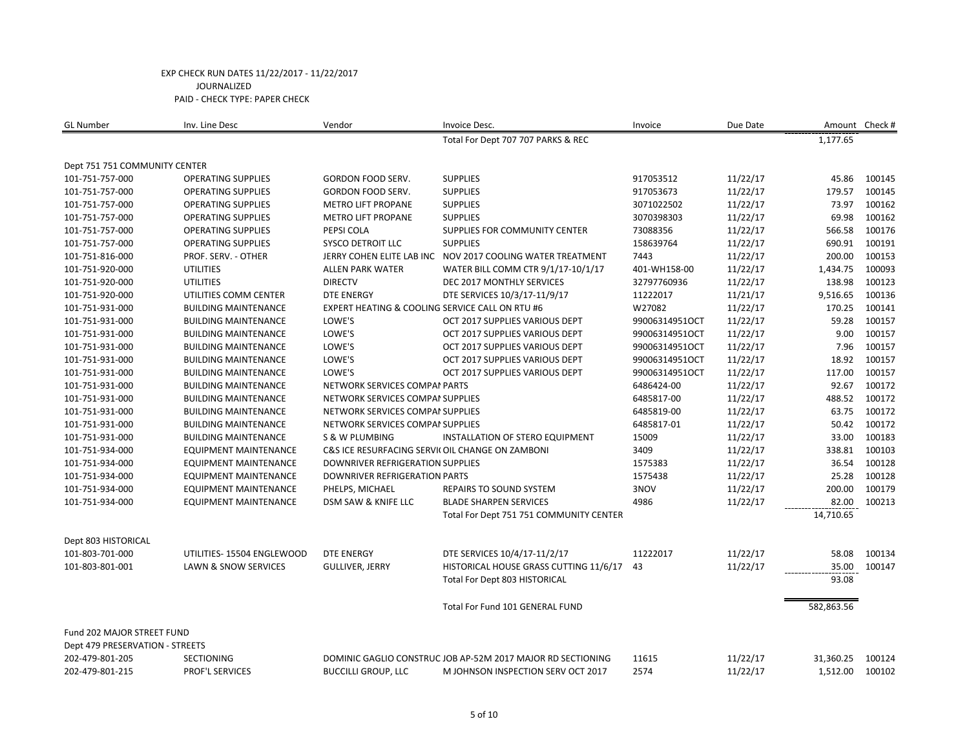| <b>GL Number</b>                | Inv. Line Desc               | Vendor                                           | Invoice Desc.                                               | Invoice        | Due Date |            | Amount Check # |
|---------------------------------|------------------------------|--------------------------------------------------|-------------------------------------------------------------|----------------|----------|------------|----------------|
|                                 |                              |                                                  | Total For Dept 707 707 PARKS & REC                          |                |          | 1,177.65   |                |
| Dept 751 751 COMMUNITY CENTER   |                              |                                                  |                                                             |                |          |            |                |
| 101-751-757-000                 | <b>OPERATING SUPPLIES</b>    | GORDON FOOD SERV.                                | <b>SUPPLIES</b>                                             | 917053512      | 11/22/17 | 45.86      | 100145         |
| 101-751-757-000                 | <b>OPERATING SUPPLIES</b>    | GORDON FOOD SERV.                                | <b>SUPPLIES</b>                                             | 917053673      | 11/22/17 | 179.57     | 100145         |
| 101-751-757-000                 | <b>OPERATING SUPPLIES</b>    | <b>METRO LIFT PROPANE</b>                        | <b>SUPPLIES</b>                                             | 3071022502     | 11/22/17 | 73.97      | 100162         |
| 101-751-757-000                 | <b>OPERATING SUPPLIES</b>    | <b>METRO LIFT PROPANE</b>                        | <b>SUPPLIES</b>                                             | 3070398303     | 11/22/17 | 69.98      | 100162         |
| 101-751-757-000                 | <b>OPERATING SUPPLIES</b>    | PEPSI COLA                                       | SUPPLIES FOR COMMUNITY CENTER                               | 73088356       | 11/22/17 | 566.58     | 100176         |
| 101-751-757-000                 | <b>OPERATING SUPPLIES</b>    | <b>SYSCO DETROIT LLC</b>                         | <b>SUPPLIES</b>                                             | 158639764      | 11/22/17 | 690.91     | 100191         |
| 101-751-816-000                 | PROF. SERV. - OTHER          | JERRY COHEN ELITE LAB INC                        | NOV 2017 COOLING WATER TREATMENT                            | 7443           | 11/22/17 | 200.00     | 100153         |
| 101-751-920-000                 | <b>UTILITIES</b>             | ALLEN PARK WATER                                 | WATER BILL COMM CTR 9/1/17-10/1/17                          | 401-WH158-00   | 11/22/17 | 1,434.75   | 100093         |
| 101-751-920-000                 | <b>UTILITIES</b>             | <b>DIRECTV</b>                                   | <b>DEC 2017 MONTHLY SERVICES</b>                            | 32797760936    | 11/22/17 | 138.98     | 100123         |
| 101-751-920-000                 | UTILITIES COMM CENTER        | <b>DTE ENERGY</b>                                | DTE SERVICES 10/3/17-11/9/17                                | 11222017       | 11/21/17 | 9,516.65   | 100136         |
| 101-751-931-000                 | <b>BUILDING MAINTENANCE</b>  | EXPERT HEATING & COOLING SERVICE CALL ON RTU #6  |                                                             | W27082         | 11/22/17 | 170.25     | 100141         |
| 101-751-931-000                 | <b>BUILDING MAINTENANCE</b>  | LOWE'S                                           | OCT 2017 SUPPLIES VARIOUS DEPT                              | 99006314951OCT | 11/22/17 | 59.28      | 100157         |
| 101-751-931-000                 | <b>BUILDING MAINTENANCE</b>  | LOWE'S                                           | OCT 2017 SUPPLIES VARIOUS DEPT                              | 99006314951OCT | 11/22/17 | 9.00       | 100157         |
| 101-751-931-000                 | <b>BUILDING MAINTENANCE</b>  | LOWE'S                                           | OCT 2017 SUPPLIES VARIOUS DEPT                              | 99006314951OCT | 11/22/17 | 7.96       | 100157         |
| 101-751-931-000                 | <b>BUILDING MAINTENANCE</b>  | LOWE'S                                           | OCT 2017 SUPPLIES VARIOUS DEPT                              | 99006314951OCT | 11/22/17 | 18.92      | 100157         |
| 101-751-931-000                 | <b>BUILDING MAINTENANCE</b>  | LOWE'S                                           | OCT 2017 SUPPLIES VARIOUS DEPT                              | 99006314951OCT | 11/22/17 | 117.00     | 100157         |
| 101-751-931-000                 | <b>BUILDING MAINTENANCE</b>  | NETWORK SERVICES COMPAI PARTS                    |                                                             | 6486424-00     | 11/22/17 | 92.67      | 100172         |
| 101-751-931-000                 | <b>BUILDING MAINTENANCE</b>  | NETWORK SERVICES COMPAI SUPPLIES                 |                                                             | 6485817-00     | 11/22/17 | 488.52     | 100172         |
| 101-751-931-000                 | <b>BUILDING MAINTENANCE</b>  | NETWORK SERVICES COMPAI SUPPLIES                 |                                                             | 6485819-00     | 11/22/17 | 63.75      | 100172         |
| 101-751-931-000                 | <b>BUILDING MAINTENANCE</b>  | NETWORK SERVICES COMPAI SUPPLIES                 |                                                             | 6485817-01     | 11/22/17 | 50.42      | 100172         |
| 101-751-931-000                 | <b>BUILDING MAINTENANCE</b>  | S & W PLUMBING                                   | INSTALLATION OF STERO EQUIPMENT                             | 15009          | 11/22/17 | 33.00      | 100183         |
| 101-751-934-000                 | <b>EQUIPMENT MAINTENANCE</b> | C&S ICE RESURFACING SERVI( OIL CHANGE ON ZAMBONI |                                                             | 3409           | 11/22/17 | 338.81     | 100103         |
| 101-751-934-000                 | <b>EQUIPMENT MAINTENANCE</b> | <b>DOWNRIVER REFRIGERATION SUPPLIES</b>          |                                                             | 1575383        | 11/22/17 | 36.54      | 100128         |
| 101-751-934-000                 | <b>EQUIPMENT MAINTENANCE</b> | DOWNRIVER REFRIGERATION PARTS                    |                                                             | 1575438        | 11/22/17 | 25.28      | 100128         |
| 101-751-934-000                 | <b>EQUIPMENT MAINTENANCE</b> | PHELPS, MICHAEL                                  | <b>REPAIRS TO SOUND SYSTEM</b>                              | 3NOV           | 11/22/17 | 200.00     | 100179         |
| 101-751-934-000                 | <b>EQUIPMENT MAINTENANCE</b> | DSM SAW & KNIFE LLC                              | <b>BLADE SHARPEN SERVICES</b>                               | 4986           | 11/22/17 | 82.00      | 100213         |
|                                 |                              |                                                  | Total For Dept 751 751 COMMUNITY CENTER                     |                |          | 14,710.65  |                |
| Dept 803 HISTORICAL             |                              |                                                  |                                                             |                |          |            |                |
| 101-803-701-000                 | UTILITIES- 15504 ENGLEWOOD   | <b>DTE ENERGY</b>                                | DTE SERVICES 10/4/17-11/2/17                                | 11222017       | 11/22/17 | 58.08      | 100134         |
| 101-803-801-001                 | LAWN & SNOW SERVICES         | <b>GULLIVER, JERRY</b>                           | HISTORICAL HOUSE GRASS CUTTING 11/6/17                      | 43             | 11/22/17 | 35.00      | 100147         |
|                                 |                              |                                                  | Total For Dept 803 HISTORICAL                               |                |          | 93.08      |                |
|                                 |                              |                                                  | Total For Fund 101 GENERAL FUND                             |                |          | 582,863.56 |                |
| Fund 202 MAJOR STREET FUND      |                              |                                                  |                                                             |                |          |            |                |
| Dept 479 PRESERVATION - STREETS |                              |                                                  |                                                             |                |          |            |                |
| 202-479-801-205                 | <b>SECTIONING</b>            |                                                  | DOMINIC GAGLIO CONSTRUC JOB AP-52M 2017 MAJOR RD SECTIONING | 11615          | 11/22/17 | 31,360.25  | 100124         |
| 202-479-801-215                 | <b>PROF'L SERVICES</b>       | <b>BUCCILLI GROUP, LLC</b>                       | M JOHNSON INSPECTION SERV OCT 2017                          | 2574           | 11/22/17 | 1,512.00   | 100102         |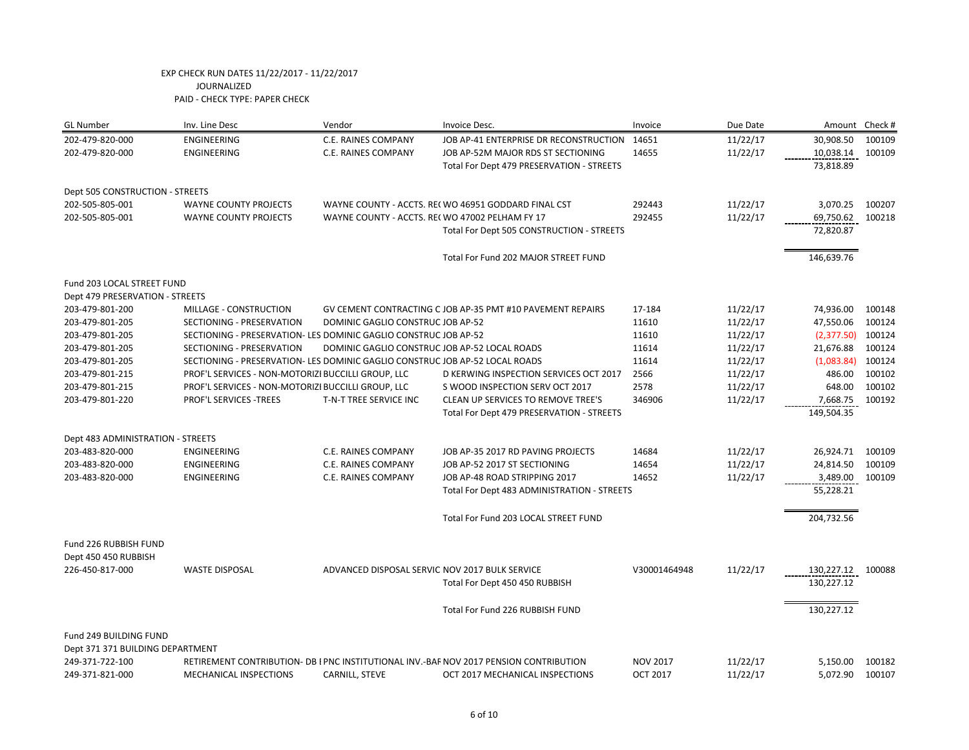| <b>GL Number</b>                  | Inv. Line Desc                                                               | Vendor                                          | Invoice Desc.                                                                          | Invoice         | Due Date |            | Amount Check # |
|-----------------------------------|------------------------------------------------------------------------------|-------------------------------------------------|----------------------------------------------------------------------------------------|-----------------|----------|------------|----------------|
| 202-479-820-000                   | ENGINEERING                                                                  | C.E. RAINES COMPANY                             | JOB AP-41 ENTERPRISE DR RECONSTRUCTION                                                 | 14651           | 11/22/17 | 30,908.50  | 100109         |
| 202-479-820-000                   | <b>ENGINEERING</b>                                                           | <b>C.E. RAINES COMPANY</b>                      | JOB AP-52M MAJOR RDS ST SECTIONING                                                     | 14655           | 11/22/17 | 10,038.14  | 100109         |
|                                   |                                                                              |                                                 | Total For Dept 479 PRESERVATION - STREETS                                              |                 |          | 73,818.89  |                |
| Dept 505 CONSTRUCTION - STREETS   |                                                                              |                                                 |                                                                                        |                 |          |            |                |
| 202-505-805-001                   | <b>WAYNE COUNTY PROJECTS</b>                                                 |                                                 | WAYNE COUNTY - ACCTS. REI WO 46951 GODDARD FINAL CST                                   | 292443          | 11/22/17 | 3,070.25   | 100207         |
| 202-505-805-001                   | <b>WAYNE COUNTY PROJECTS</b>                                                 | WAYNE COUNTY - ACCTS. REC WO 47002 PELHAM FY 17 |                                                                                        | 292455          | 11/22/17 | 69,750.62  | 100218         |
|                                   |                                                                              |                                                 | Total For Dept 505 CONSTRUCTION - STREETS                                              |                 |          | 72,820.87  |                |
|                                   |                                                                              |                                                 | Total For Fund 202 MAJOR STREET FUND                                                   |                 |          | 146,639.76 |                |
| Fund 203 LOCAL STREET FUND        |                                                                              |                                                 |                                                                                        |                 |          |            |                |
| Dept 479 PRESERVATION - STREETS   |                                                                              |                                                 |                                                                                        |                 |          |            |                |
| 203-479-801-200                   | MILLAGE - CONSTRUCTION                                                       |                                                 | GV CEMENT CONTRACTING C JOB AP-35 PMT #10 PAVEMENT REPAIRS                             | 17-184          | 11/22/17 | 74,936.00  | 100148         |
| 203-479-801-205                   | SECTIONING - PRESERVATION                                                    | DOMINIC GAGLIO CONSTRUC JOB AP-52               |                                                                                        | 11610           | 11/22/17 | 47,550.06  | 100124         |
| 203-479-801-205                   | SECTIONING - PRESERVATION- LES DOMINIC GAGLIO CONSTRUC JOB AP-52             |                                                 |                                                                                        | 11610           | 11/22/17 | (2,377.50) | 100124         |
| 203-479-801-205                   | SECTIONING - PRESERVATION                                                    | DOMINIC GAGLIO CONSTRUC JOB AP-52 LOCAL ROADS   |                                                                                        | 11614           | 11/22/17 | 21,676.88  | 100124         |
| 203-479-801-205                   | SECTIONING - PRESERVATION- LES DOMINIC GAGLIO CONSTRUC JOB AP-52 LOCAL ROADS |                                                 |                                                                                        | 11614           | 11/22/17 | (1,083.84) | 100124         |
| 203-479-801-215                   | PROF'L SERVICES - NON-MOTORIZI BUCCILLI GROUP, LLC                           |                                                 | D KERWING INSPECTION SERVICES OCT 2017                                                 | 2566            | 11/22/17 | 486.00     | 100102         |
| 203-479-801-215                   | PROF'L SERVICES - NON-MOTORIZI BUCCILLI GROUP, LLC                           |                                                 | S WOOD INSPECTION SERV OCT 2017                                                        | 2578            | 11/22/17 | 648.00     | 100102         |
| 203-479-801-220                   | PROF'L SERVICES - TREES                                                      | T-N-T TREE SERVICE INC                          | CLEAN UP SERVICES TO REMOVE TREE'S                                                     | 346906          | 11/22/17 | 7,668.75   | 100192         |
|                                   |                                                                              |                                                 | Total For Dept 479 PRESERVATION - STREETS                                              |                 |          | 149,504.35 |                |
| Dept 483 ADMINISTRATION - STREETS |                                                                              |                                                 |                                                                                        |                 |          |            |                |
| 203-483-820-000                   | ENGINEERING                                                                  | C.E. RAINES COMPANY                             | JOB AP-35 2017 RD PAVING PROJECTS                                                      | 14684           | 11/22/17 | 26,924.71  | 100109         |
| 203-483-820-000                   | ENGINEERING                                                                  | C.E. RAINES COMPANY                             | JOB AP-52 2017 ST SECTIONING                                                           | 14654           | 11/22/17 | 24,814.50  | 100109         |
| 203-483-820-000                   | ENGINEERING                                                                  | <b>C.E. RAINES COMPANY</b>                      | JOB AP-48 ROAD STRIPPING 2017                                                          | 14652           | 11/22/17 | 3,489.00   | 100109         |
|                                   |                                                                              |                                                 | Total For Dept 483 ADMINISTRATION - STREETS                                            |                 |          | 55,228.21  |                |
|                                   |                                                                              |                                                 | Total For Fund 203 LOCAL STREET FUND                                                   |                 |          | 204,732.56 |                |
| Fund 226 RUBBISH FUND             |                                                                              |                                                 |                                                                                        |                 |          |            |                |
| Dept 450 450 RUBBISH              |                                                                              |                                                 |                                                                                        |                 |          |            |                |
| 226-450-817-000                   | <b>WASTE DISPOSAL</b>                                                        | ADVANCED DISPOSAL SERVIC NOV 2017 BULK SERVICE  |                                                                                        | V30001464948    | 11/22/17 | 130,227.12 | 100088         |
|                                   |                                                                              |                                                 | Total For Dept 450 450 RUBBISH                                                         |                 |          | 130,227.12 |                |
|                                   |                                                                              |                                                 | Total For Fund 226 RUBBISH FUND                                                        |                 |          | 130,227.12 |                |
| Fund 249 BUILDING FUND            |                                                                              |                                                 |                                                                                        |                 |          |            |                |
| Dept 371 371 BUILDING DEPARTMENT  |                                                                              |                                                 |                                                                                        |                 |          |            |                |
| 249-371-722-100                   |                                                                              |                                                 | RETIREMENT CONTRIBUTION- DB I PNC INSTITUTIONAL INV.-BAF NOV 2017 PENSION CONTRIBUTION | <b>NOV 2017</b> | 11/22/17 | 5,150.00   | 100182         |
| 249-371-821-000                   | <b>MECHANICAL INSPECTIONS</b>                                                | CARNILL, STEVE                                  | OCT 2017 MECHANICAL INSPECTIONS                                                        | <b>OCT 2017</b> | 11/22/17 | 5,072.90   | 100107         |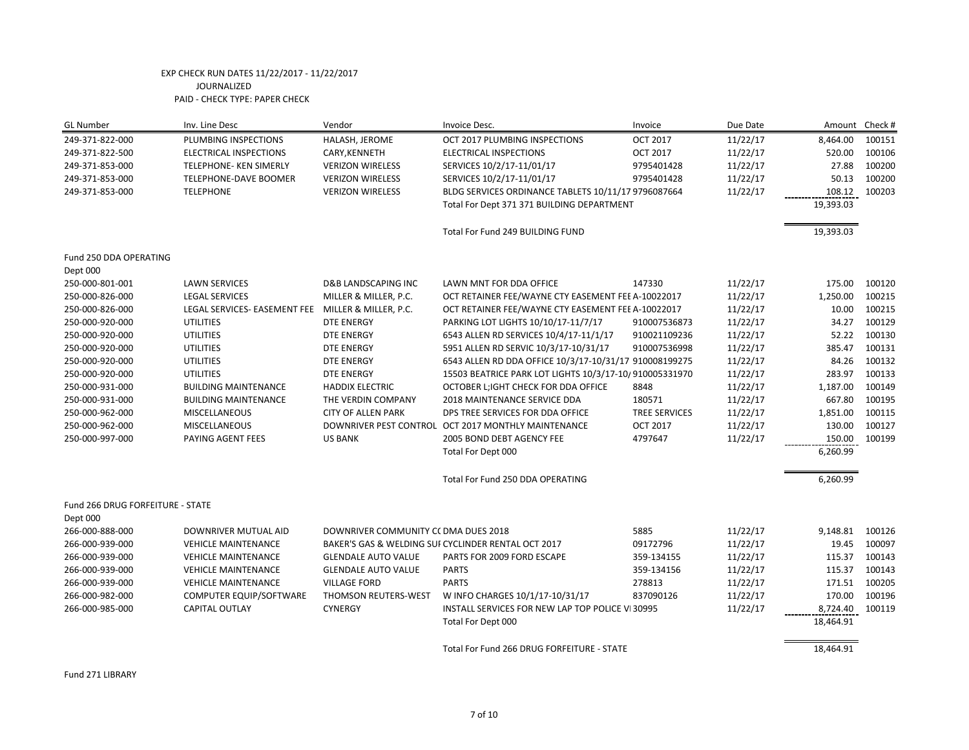| <b>GL Number</b>                 | Inv. Line Desc               | Vendor                               | Invoice Desc.                                          | Invoice         | Due Date | Amount Check # |        |
|----------------------------------|------------------------------|--------------------------------------|--------------------------------------------------------|-----------------|----------|----------------|--------|
| 249-371-822-000                  | PLUMBING INSPECTIONS         | HALASH, JEROME                       | OCT 2017 PLUMBING INSPECTIONS                          | <b>OCT 2017</b> | 11/22/17 | 8,464.00       | 100151 |
| 249-371-822-500                  | ELECTRICAL INSPECTIONS       | CARY, KENNETH                        | ELECTRICAL INSPECTIONS                                 | <b>OCT 2017</b> | 11/22/17 | 520.00         | 100106 |
| 249-371-853-000                  | TELEPHONE- KEN SIMERLY       | <b>VERIZON WIRELESS</b>              | SERVICES 10/2/17-11/01/17                              | 9795401428      | 11/22/17 | 27.88          | 100200 |
| 249-371-853-000                  | <b>TELEPHONE-DAVE BOOMER</b> | <b>VERIZON WIRELESS</b>              | SERVICES 10/2/17-11/01/17                              | 9795401428      | 11/22/17 | 50.13          | 100200 |
| 249-371-853-000                  | <b>TELEPHONE</b>             | <b>VERIZON WIRELESS</b>              | BLDG SERVICES ORDINANCE TABLETS 10/11/17 9796087664    |                 | 11/22/17 | 108.12         | 100203 |
|                                  |                              |                                      | Total For Dept 371 371 BUILDING DEPARTMENT             |                 |          | 19,393.03      |        |
|                                  |                              |                                      | Total For Fund 249 BUILDING FUND                       |                 |          | 19,393.03      |        |
| Fund 250 DDA OPERATING           |                              |                                      |                                                        |                 |          |                |        |
| Dept 000                         |                              |                                      |                                                        |                 |          |                |        |
| 250-000-801-001                  | <b>LAWN SERVICES</b>         | <b>D&amp;B LANDSCAPING INC</b>       | LAWN MNT FOR DDA OFFICE                                | 147330          | 11/22/17 | 175.00         | 100120 |
| 250-000-826-000                  | <b>LEGAL SERVICES</b>        | MILLER & MILLER, P.C.                | OCT RETAINER FEE/WAYNE CTY EASEMENT FEE A-10022017     |                 | 11/22/17 | 1,250.00       | 100215 |
| 250-000-826-000                  | LEGAL SERVICES- EASEMENT FEE | MILLER & MILLER, P.C.                | OCT RETAINER FEE/WAYNE CTY EASEMENT FEE A-10022017     |                 | 11/22/17 | 10.00          | 100215 |
| 250-000-920-000                  | <b>UTILITIES</b>             | <b>DTE ENERGY</b>                    | PARKING LOT LIGHTS 10/10/17-11/7/17                    | 910007536873    | 11/22/17 | 34.27          | 100129 |
| 250-000-920-000                  | <b>UTILITIES</b>             | <b>DTE ENERGY</b>                    | 6543 ALLEN RD SERVICES 10/4/17-11/1/17                 | 910021109236    | 11/22/17 | 52.22          | 100130 |
| 250-000-920-000                  | <b>UTILITIES</b>             | <b>DTE ENERGY</b>                    | 5951 ALLEN RD SERVIC 10/3/17-10/31/17                  | 910007536998    | 11/22/17 | 385.47         | 100131 |
| 250-000-920-000                  | <b>UTILITIES</b>             | <b>DTE ENERGY</b>                    | 6543 ALLEN RD DDA OFFICE 10/3/17-10/31/17 910008199275 |                 | 11/22/17 | 84.26          | 100132 |
| 250-000-920-000                  | <b>UTILITIES</b>             | <b>DTE ENERGY</b>                    | 15503 BEATRICE PARK LOT LIGHTS 10/3/17-10/910005331970 |                 | 11/22/17 | 283.97         | 100133 |
| 250-000-931-000                  | <b>BUILDING MAINTENANCE</b>  | <b>HADDIX ELECTRIC</b>               | OCTOBER L; IGHT CHECK FOR DDA OFFICE                   | 8848            | 11/22/17 | 1,187.00       | 100149 |
| 250-000-931-000                  | <b>BUILDING MAINTENANCE</b>  | THE VERDIN COMPANY                   | 2018 MAINTENANCE SERVICE DDA                           | 180571          | 11/22/17 | 667.80         | 100195 |
| 250-000-962-000                  | MISCELLANEOUS                | <b>CITY OF ALLEN PARK</b>            | DPS TREE SERVICES FOR DDA OFFICE                       | TREE SERVICES   | 11/22/17 | 1,851.00       | 100115 |
| 250-000-962-000                  | MISCELLANEOUS                |                                      | DOWNRIVER PEST CONTROL OCT 2017 MONTHLY MAINTENANCE    | <b>OCT 2017</b> | 11/22/17 | 130.00         | 100127 |
| 250-000-997-000                  | PAYING AGENT FEES            | <b>US BANK</b>                       | 2005 BOND DEBT AGENCY FEE                              | 4797647         | 11/22/17 | 150.00         | 100199 |
|                                  |                              |                                      | Total For Dept 000                                     |                 |          | 6,260.99       |        |
|                                  |                              |                                      | Total For Fund 250 DDA OPERATING                       |                 |          | 6,260.99       |        |
| Fund 266 DRUG FORFEITURE - STATE |                              |                                      |                                                        |                 |          |                |        |
| Dept 000                         |                              |                                      |                                                        |                 |          |                |        |
| 266-000-888-000                  | <b>DOWNRIVER MUTUAL AID</b>  | DOWNRIVER COMMUNITY CC DMA DUES 2018 |                                                        | 5885            | 11/22/17 | 9,148.81       | 100126 |
| 266-000-939-000                  | <b>VEHICLE MAINTENANCE</b>   |                                      | BAKER'S GAS & WELDING SUI CYCLINDER RENTAL OCT 2017    | 09172796        | 11/22/17 | 19.45          | 100097 |
| 266-000-939-000                  | <b>VEHICLE MAINTENANCE</b>   | <b>GLENDALE AUTO VALUE</b>           | PARTS FOR 2009 FORD ESCAPE                             | 359-134155      | 11/22/17 | 115.37         | 100143 |
| 266-000-939-000                  | <b>VEHICLE MAINTENANCE</b>   | <b>GLENDALE AUTO VALUE</b>           | <b>PARTS</b>                                           | 359-134156      | 11/22/17 | 115.37         | 100143 |
| 266-000-939-000                  | <b>VEHICLE MAINTENANCE</b>   | <b>VILLAGE FORD</b>                  | <b>PARTS</b>                                           | 278813          | 11/22/17 | 171.51         | 100205 |
| 266-000-982-000                  | COMPUTER EQUIP/SOFTWARE      | THOMSON REUTERS-WEST                 | W INFO CHARGES 10/1/17-10/31/17                        | 837090126       | 11/22/17 | 170.00         | 100196 |
| 266-000-985-000                  | <b>CAPITAL OUTLAY</b>        | <b>CYNERGY</b>                       | INSTALL SERVICES FOR NEW LAP TOP POLICE VI 30995       |                 | 11/22/17 | 8,724.40       | 100119 |
|                                  |                              |                                      | Total For Dept 000                                     |                 |          | 18,464.91      |        |
|                                  |                              |                                      | Total For Fund 266 DRUG FORFEITURE - STATE             |                 |          | 18,464.91      |        |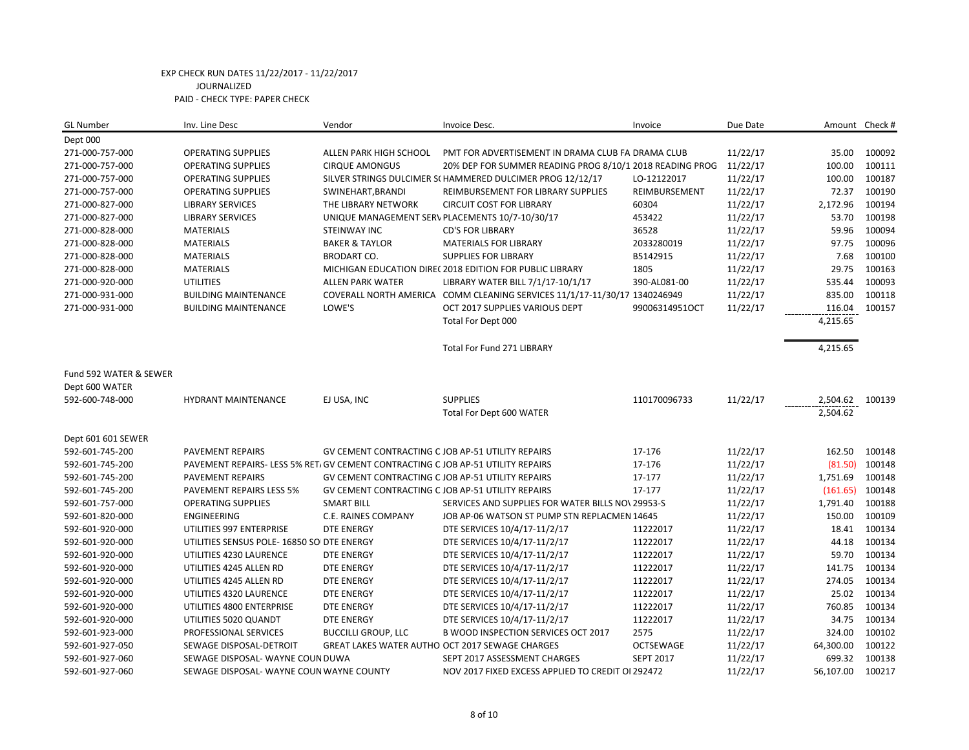| <b>GL Number</b>       | Inv. Line Desc                                                                  | Vendor                                            | Invoice Desc.                                                             | Invoice          | Due Date | Amount Check # |        |
|------------------------|---------------------------------------------------------------------------------|---------------------------------------------------|---------------------------------------------------------------------------|------------------|----------|----------------|--------|
| Dept 000               |                                                                                 |                                                   |                                                                           |                  |          |                |        |
| 271-000-757-000        | <b>OPERATING SUPPLIES</b>                                                       | ALLEN PARK HIGH SCHOOL                            | PMT FOR ADVERTISEMENT IN DRAMA CLUB FA DRAMA CLUB                         |                  | 11/22/17 | 35.00          | 100092 |
| 271-000-757-000        | <b>OPERATING SUPPLIES</b>                                                       | <b>CIRQUE AMONGUS</b>                             | 20% DEP FOR SUMMER READING PROG 8/10/1 2018 READING PROG                  |                  | 11/22/17 | 100.00         | 100111 |
| 271-000-757-000        | <b>OPERATING SUPPLIES</b>                                                       |                                                   | SILVER STRINGS DULCIMER S(HAMMERED DULCIMER PROG 12/12/17                 | LO-12122017      | 11/22/17 | 100.00         | 100187 |
| 271-000-757-000        | <b>OPERATING SUPPLIES</b>                                                       | SWINEHART, BRANDI                                 | REIMBURSEMENT FOR LIBRARY SUPPLIES                                        | REIMBURSEMENT    | 11/22/17 | 72.37          | 100190 |
| 271-000-827-000        | <b>LIBRARY SERVICES</b>                                                         | THE LIBRARY NETWORK                               | <b>CIRCUIT COST FOR LIBRARY</b>                                           | 60304            | 11/22/17 | 2,172.96       | 100194 |
| 271-000-827-000        | <b>LIBRARY SERVICES</b>                                                         |                                                   | UNIQUE MANAGEMENT SERV PLACEMENTS 10/7-10/30/17                           | 453422           | 11/22/17 | 53.70          | 100198 |
| 271-000-828-000        | <b>MATERIALS</b>                                                                | <b>STEINWAY INC</b>                               | <b>CD'S FOR LIBRARY</b>                                                   | 36528            | 11/22/17 | 59.96          | 100094 |
| 271-000-828-000        | <b>MATERIALS</b>                                                                | <b>BAKER &amp; TAYLOR</b>                         | <b>MATERIALS FOR LIBRARY</b>                                              | 2033280019       | 11/22/17 | 97.75          | 100096 |
| 271-000-828-000        | <b>MATERIALS</b>                                                                | <b>BRODART CO.</b>                                | <b>SUPPLIES FOR LIBRARY</b>                                               | B5142915         | 11/22/17 | 7.68           | 100100 |
| 271-000-828-000        | <b>MATERIALS</b>                                                                |                                                   | MICHIGAN EDUCATION DIRE(2018 EDITION FOR PUBLIC LIBRARY                   | 1805             | 11/22/17 | 29.75          | 100163 |
| 271-000-920-000        | <b>UTILITIES</b>                                                                | <b>ALLEN PARK WATER</b>                           | LIBRARY WATER BILL 7/1/17-10/1/17                                         | 390-AL081-00     | 11/22/17 | 535.44         | 100093 |
| 271-000-931-000        | <b>BUILDING MAINTENANCE</b>                                                     |                                                   | COVERALL NORTH AMERICA COMM CLEANING SERVICES 11/1/17-11/30/17 1340246949 |                  | 11/22/17 | 835.00         | 100118 |
| 271-000-931-000        | <b>BUILDING MAINTENANCE</b>                                                     | LOWE'S                                            | OCT 2017 SUPPLIES VARIOUS DEPT                                            | 99006314951OCT   | 11/22/17 | 116.04         | 100157 |
|                        |                                                                                 |                                                   | Total For Dept 000                                                        |                  |          | 4,215.65       |        |
|                        |                                                                                 |                                                   | <b>Total For Fund 271 LIBRARY</b>                                         |                  |          | 4,215.65       |        |
| Fund 592 WATER & SEWER |                                                                                 |                                                   |                                                                           |                  |          |                |        |
| Dept 600 WATER         |                                                                                 |                                                   |                                                                           |                  |          |                |        |
| 592-600-748-000        | <b>HYDRANT MAINTENANCE</b>                                                      | EJ USA, INC                                       | <b>SUPPLIES</b>                                                           | 110170096733     | 11/22/17 | 2,504.62       | 100139 |
|                        |                                                                                 |                                                   | Total For Dept 600 WATER                                                  |                  |          | 2,504.62       |        |
| Dept 601 601 SEWER     |                                                                                 |                                                   |                                                                           |                  |          |                |        |
| 592-601-745-200        | PAVEMENT REPAIRS                                                                | GV CEMENT CONTRACTING C JOB AP-51 UTILITY REPAIRS |                                                                           | 17-176           | 11/22/17 | 162.50         | 100148 |
| 592-601-745-200        | PAVEMENT REPAIRS-LESS 5% RET/ GV CEMENT CONTRACTING C JOB AP-51 UTILITY REPAIRS |                                                   |                                                                           | 17-176           | 11/22/17 | (81.50)        | 100148 |
| 592-601-745-200        | <b>PAVEMENT REPAIRS</b>                                                         | GV CEMENT CONTRACTING C JOB AP-51 UTILITY REPAIRS |                                                                           | 17-177           | 11/22/17 | 1,751.69       | 100148 |
| 592-601-745-200        | PAVEMENT REPAIRS LESS 5%                                                        | GV CEMENT CONTRACTING C JOB AP-51 UTILITY REPAIRS |                                                                           | 17-177           | 11/22/17 | (161.65)       | 100148 |
| 592-601-757-000        | <b>OPERATING SUPPLIES</b>                                                       | <b>SMART BILL</b>                                 | SERVICES AND SUPPLIES FOR WATER BILLS NO\ 29953-S                         |                  | 11/22/17 | 1,791.40       | 100188 |
| 592-601-820-000        | <b>ENGINEERING</b>                                                              | C.E. RAINES COMPANY                               | JOB AP-06 WATSON ST PUMP STN REPLACMEN 14645                              |                  | 11/22/17 | 150.00         | 100109 |
| 592-601-920-000        | UTILITIES 997 ENTERPRISE                                                        | <b>DTE ENERGY</b>                                 | DTE SERVICES 10/4/17-11/2/17                                              | 11222017         | 11/22/17 | 18.41          | 100134 |
| 592-601-920-000        | UTILITIES SENSUS POLE- 16850 SO DTE ENERGY                                      |                                                   | DTE SERVICES 10/4/17-11/2/17                                              | 11222017         | 11/22/17 | 44.18          | 100134 |
| 592-601-920-000        | UTILITIES 4230 LAURENCE                                                         | <b>DTE ENERGY</b>                                 | DTE SERVICES 10/4/17-11/2/17                                              | 11222017         | 11/22/17 | 59.70          | 100134 |
| 592-601-920-000        | UTILITIES 4245 ALLEN RD                                                         | DTE ENERGY                                        | DTE SERVICES 10/4/17-11/2/17                                              | 11222017         | 11/22/17 | 141.75         | 100134 |
| 592-601-920-000        | UTILITIES 4245 ALLEN RD                                                         | <b>DTE ENERGY</b>                                 | DTE SERVICES 10/4/17-11/2/17                                              | 11222017         | 11/22/17 | 274.05         | 100134 |
| 592-601-920-000        | UTILITIES 4320 LAURENCE                                                         | <b>DTE ENERGY</b>                                 | DTE SERVICES 10/4/17-11/2/17                                              | 11222017         | 11/22/17 | 25.02          | 100134 |
| 592-601-920-000        | UTILITIES 4800 ENTERPRISE                                                       | <b>DTE ENERGY</b>                                 | DTE SERVICES 10/4/17-11/2/17                                              | 11222017         | 11/22/17 | 760.85         | 100134 |
| 592-601-920-000        | UTILITIES 5020 QUANDT                                                           | <b>DTE ENERGY</b>                                 | DTE SERVICES 10/4/17-11/2/17                                              | 11222017         | 11/22/17 | 34.75          | 100134 |
| 592-601-923-000        | PROFESSIONAL SERVICES                                                           | <b>BUCCILLI GROUP, LLC</b>                        | B WOOD INSPECTION SERVICES OCT 2017                                       | 2575             | 11/22/17 | 324.00         | 100102 |
| 592-601-927-050        | SEWAGE DISPOSAL-DETROIT                                                         |                                                   | GREAT LAKES WATER AUTHO OCT 2017 SEWAGE CHARGES                           | <b>OCTSEWAGE</b> | 11/22/17 | 64,300.00      | 100122 |
| 592-601-927-060        | SEWAGE DISPOSAL- WAYNE COUN DUWA                                                |                                                   | SEPT 2017 ASSESSMENT CHARGES                                              | <b>SEPT 2017</b> | 11/22/17 | 699.32         | 100138 |
| 592-601-927-060        | SEWAGE DISPOSAL-WAYNE COUN WAYNE COUNTY                                         |                                                   | NOV 2017 FIXED EXCESS APPLIED TO CREDIT OI 292472                         |                  | 11/22/17 | 56,107.00      | 100217 |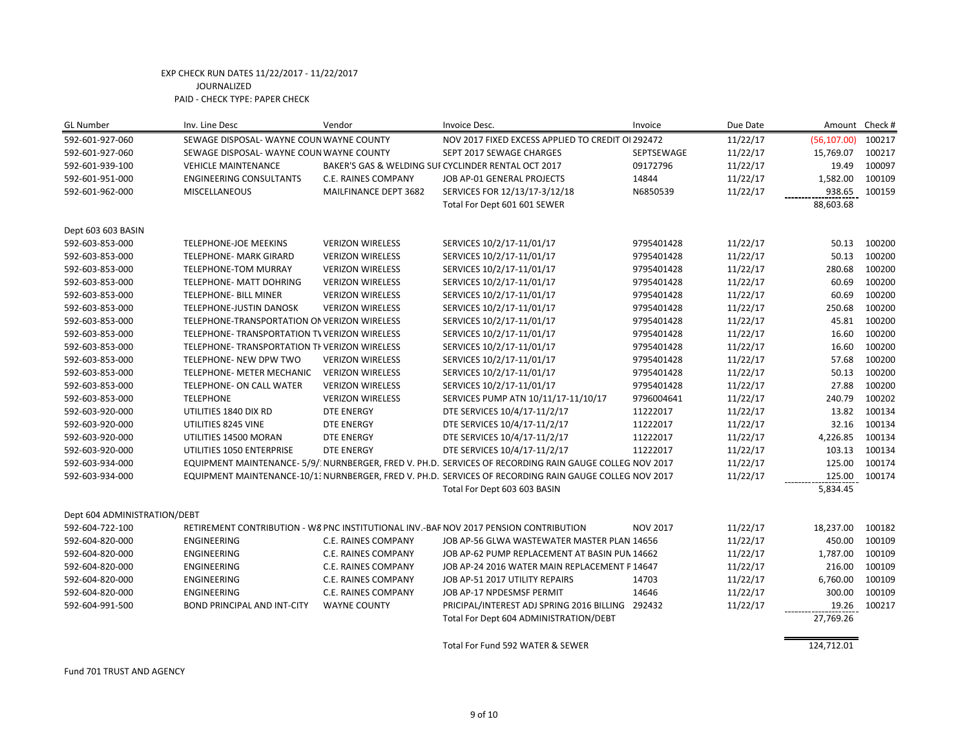| <b>GL Number</b>             | Inv. Line Desc                                | Vendor                     | Invoice Desc.                                                                                           | Invoice         | Due Date | Amount Check # |        |
|------------------------------|-----------------------------------------------|----------------------------|---------------------------------------------------------------------------------------------------------|-----------------|----------|----------------|--------|
| 592-601-927-060              | SEWAGE DISPOSAL- WAYNE COUN WAYNE COUNTY      |                            | NOV 2017 FIXED EXCESS APPLIED TO CREDIT OI 292472                                                       |                 | 11/22/17 | (56, 107.00)   | 100217 |
| 592-601-927-060              | SEWAGE DISPOSAL- WAYNE COUN WAYNE COUNTY      |                            | SEPT 2017 SEWAGE CHARGES                                                                                | SEPTSEWAGE      | 11/22/17 | 15,769.07      | 100217 |
| 592-601-939-100              | <b>VEHICLE MAINTENANCE</b>                    |                            | BAKER'S GAS & WELDING SUI CYCLINDER RENTAL OCT 2017                                                     | 09172796        | 11/22/17 | 19.49          | 100097 |
| 592-601-951-000              | <b>ENGINEERING CONSULTANTS</b>                | C.E. RAINES COMPANY        | JOB AP-01 GENERAL PROJECTS                                                                              | 14844           | 11/22/17 | 1,582.00       | 100109 |
| 592-601-962-000              | <b>MISCELLANEOUS</b>                          | MAILFINANCE DEPT 3682      | SERVICES FOR 12/13/17-3/12/18                                                                           | N6850539        | 11/22/17 | 938.65         | 100159 |
|                              |                                               |                            | Total For Dept 601 601 SEWER                                                                            |                 |          | 88,603.68      |        |
| Dept 603 603 BASIN           |                                               |                            |                                                                                                         |                 |          |                |        |
| 592-603-853-000              | TELEPHONE-JOE MEEKINS                         | <b>VERIZON WIRELESS</b>    | SERVICES 10/2/17-11/01/17                                                                               | 9795401428      | 11/22/17 | 50.13          | 100200 |
| 592-603-853-000              | <b>TELEPHONE- MARK GIRARD</b>                 | <b>VERIZON WIRELESS</b>    | SERVICES 10/2/17-11/01/17                                                                               | 9795401428      | 11/22/17 | 50.13          | 100200 |
| 592-603-853-000              | TELEPHONE-TOM MURRAY                          | <b>VERIZON WIRELESS</b>    | SERVICES 10/2/17-11/01/17                                                                               | 9795401428      | 11/22/17 | 280.68         | 100200 |
| 592-603-853-000              | <b>TELEPHONE- MATT DOHRING</b>                | <b>VERIZON WIRELESS</b>    | SERVICES 10/2/17-11/01/17                                                                               | 9795401428      | 11/22/17 | 60.69          | 100200 |
| 592-603-853-000              | <b>TELEPHONE- BILL MINER</b>                  | <b>VERIZON WIRELESS</b>    | SERVICES 10/2/17-11/01/17                                                                               | 9795401428      | 11/22/17 | 60.69          | 100200 |
| 592-603-853-000              | TELEPHONE-JUSTIN DANOSK                       | <b>VERIZON WIRELESS</b>    | SERVICES 10/2/17-11/01/17                                                                               | 9795401428      | 11/22/17 | 250.68         | 100200 |
| 592-603-853-000              | TELEPHONE-TRANSPORTATION ON VERIZON WIRELESS  |                            | SERVICES 10/2/17-11/01/17                                                                               | 9795401428      | 11/22/17 | 45.81          | 100200 |
| 592-603-853-000              | TELEPHONE- TRANSPORTATION TV VERIZON WIRELESS |                            | SERVICES 10/2/17-11/01/17                                                                               | 9795401428      | 11/22/17 | 16.60          | 100200 |
| 592-603-853-000              | TELEPHONE- TRANSPORTATION TI VERIZON WIRELESS |                            | SERVICES 10/2/17-11/01/17                                                                               | 9795401428      | 11/22/17 | 16.60          | 100200 |
| 592-603-853-000              | TELEPHONE- NEW DPW TWO                        | <b>VERIZON WIRELESS</b>    | SERVICES 10/2/17-11/01/17                                                                               | 9795401428      | 11/22/17 | 57.68          | 100200 |
| 592-603-853-000              | TELEPHONE- METER MECHANIC                     | <b>VERIZON WIRELESS</b>    | SERVICES 10/2/17-11/01/17                                                                               | 9795401428      | 11/22/17 | 50.13          | 100200 |
| 592-603-853-000              | TELEPHONE- ON CALL WATER                      | <b>VERIZON WIRELESS</b>    | SERVICES 10/2/17-11/01/17                                                                               | 9795401428      | 11/22/17 | 27.88          | 100200 |
| 592-603-853-000              | <b>TELEPHONE</b>                              | <b>VERIZON WIRELESS</b>    | SERVICES PUMP ATN 10/11/17-11/10/17                                                                     | 9796004641      | 11/22/17 | 240.79         | 100202 |
| 592-603-920-000              | UTILITIES 1840 DIX RD                         | <b>DTE ENERGY</b>          | DTE SERVICES 10/4/17-11/2/17                                                                            | 11222017        | 11/22/17 | 13.82          | 100134 |
| 592-603-920-000              | UTILITIES 8245 VINE                           | <b>DTE ENERGY</b>          | DTE SERVICES 10/4/17-11/2/17                                                                            | 11222017        | 11/22/17 | 32.16          | 100134 |
| 592-603-920-000              | UTILITIES 14500 MORAN                         | <b>DTE ENERGY</b>          | DTE SERVICES 10/4/17-11/2/17                                                                            | 11222017        | 11/22/17 | 4,226.85       | 100134 |
| 592-603-920-000              | UTILITIES 1050 ENTERPRISE                     | <b>DTE ENERGY</b>          | DTE SERVICES 10/4/17-11/2/17                                                                            | 11222017        | 11/22/17 | 103.13         | 100134 |
| 592-603-934-000              |                                               |                            | EQUIPMENT MAINTENANCE- 5/9/: NURNBERGER, FRED V. PH.D. SERVICES OF RECORDING RAIN GAUGE COLLEG NOV 2017 |                 | 11/22/17 | 125.00         | 100174 |
| 592-603-934-000              |                                               |                            | EQUIPMENT MAINTENANCE-10/1: NURNBERGER, FRED V. PH.D. SERVICES OF RECORDING RAIN GAUGE COLLEG NOV 2017  |                 | 11/22/17 | 125.00         | 100174 |
|                              |                                               |                            | Total For Dept 603 603 BASIN                                                                            |                 |          | 5,834.45       |        |
| Dept 604 ADMINISTRATION/DEBT |                                               |                            |                                                                                                         |                 |          |                |        |
| 592-604-722-100              |                                               |                            | RETIREMENT CONTRIBUTION - W8 PNC INSTITUTIONAL INV.-BAF NOV 2017 PENSION CONTRIBUTION                   | <b>NOV 2017</b> | 11/22/17 | 18,237.00      | 100182 |
| 592-604-820-000              | ENGINEERING                                   | C.E. RAINES COMPANY        | JOB AP-56 GLWA WASTEWATER MASTER PLAN 14656                                                             |                 | 11/22/17 | 450.00         | 100109 |
| 592-604-820-000              | <b>ENGINEERING</b>                            | C.E. RAINES COMPANY        | JOB AP-62 PUMP REPLACEMENT AT BASIN PUN 14662                                                           |                 | 11/22/17 | 1,787.00       | 100109 |
| 592-604-820-000              | ENGINEERING                                   | C.E. RAINES COMPANY        | JOB AP-24 2016 WATER MAIN REPLACEMENT F 14647                                                           |                 | 11/22/17 | 216.00         | 100109 |
| 592-604-820-000              | ENGINEERING                                   | C.E. RAINES COMPANY        | JOB AP-51 2017 UTILITY REPAIRS                                                                          | 14703           | 11/22/17 | 6,760.00       | 100109 |
| 592-604-820-000              | <b>ENGINEERING</b>                            | <b>C.E. RAINES COMPANY</b> | JOB AP-17 NPDESMSF PERMIT                                                                               | 14646           | 11/22/17 | 300.00         | 100109 |
| 592-604-991-500              | <b>BOND PRINCIPAL AND INT-CITY</b>            | <b>WAYNE COUNTY</b>        | PRICIPAL/INTEREST ADJ SPRING 2016 BILLING 292432                                                        |                 | 11/22/17 | 19.26          | 100217 |
|                              |                                               |                            | Total For Dept 604 ADMINISTRATION/DEBT                                                                  |                 |          | 27,769.26      |        |
|                              |                                               |                            | Total For Fund 592 WATER & SEWER                                                                        |                 |          | 124,712.01     |        |